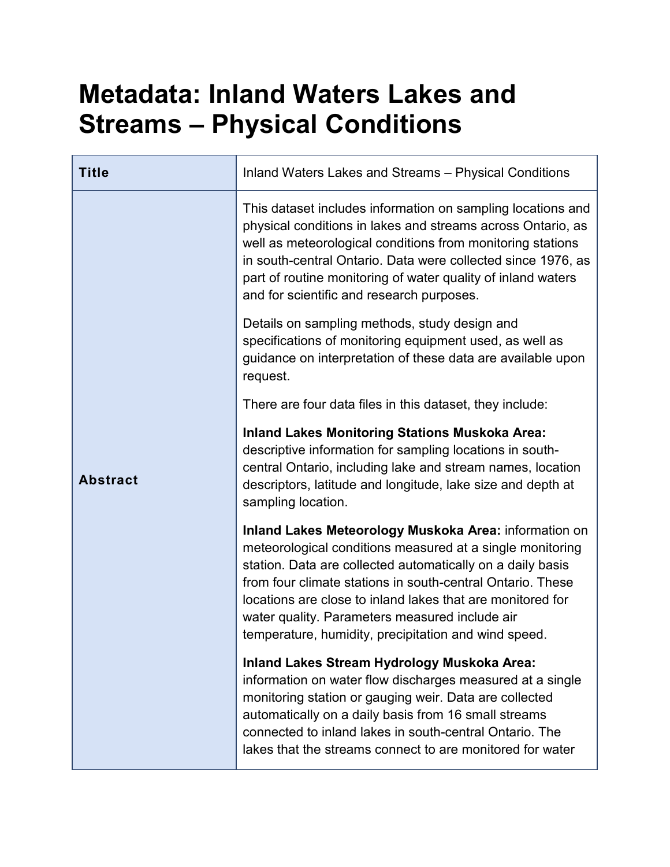## **Metadata: Inland Waters Lakes and Streams – Physical Conditions**

| <b>Title</b>    | Inland Waters Lakes and Streams - Physical Conditions                                                                                                                                                                                                                                                                                                                                                                  |
|-----------------|------------------------------------------------------------------------------------------------------------------------------------------------------------------------------------------------------------------------------------------------------------------------------------------------------------------------------------------------------------------------------------------------------------------------|
|                 | This dataset includes information on sampling locations and<br>physical conditions in lakes and streams across Ontario, as<br>well as meteorological conditions from monitoring stations<br>in south-central Ontario. Data were collected since 1976, as<br>part of routine monitoring of water quality of inland waters<br>and for scientific and research purposes.                                                  |
|                 | Details on sampling methods, study design and<br>specifications of monitoring equipment used, as well as<br>guidance on interpretation of these data are available upon<br>request.                                                                                                                                                                                                                                    |
|                 | There are four data files in this dataset, they include:                                                                                                                                                                                                                                                                                                                                                               |
| <b>Abstract</b> | <b>Inland Lakes Monitoring Stations Muskoka Area:</b><br>descriptive information for sampling locations in south-<br>central Ontario, including lake and stream names, location<br>descriptors, latitude and longitude, lake size and depth at<br>sampling location.                                                                                                                                                   |
|                 | Inland Lakes Meteorology Muskoka Area: information on<br>meteorological conditions measured at a single monitoring<br>station. Data are collected automatically on a daily basis<br>from four climate stations in south-central Ontario. These<br>locations are close to inland lakes that are monitored for<br>water quality. Parameters measured include air<br>temperature, humidity, precipitation and wind speed. |
|                 | Inland Lakes Stream Hydrology Muskoka Area:<br>information on water flow discharges measured at a single<br>monitoring station or gauging weir. Data are collected<br>automatically on a daily basis from 16 small streams<br>connected to inland lakes in south-central Ontario. The<br>lakes that the streams connect to are monitored for water                                                                     |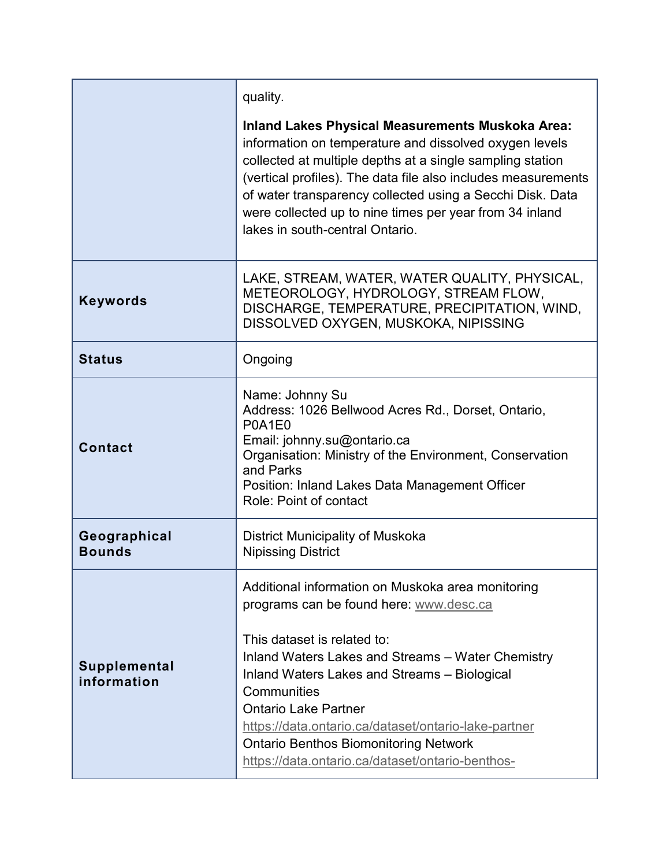|                               | quality.                                                                                                                                                                                                                                                                                                                                                                                                                                   |
|-------------------------------|--------------------------------------------------------------------------------------------------------------------------------------------------------------------------------------------------------------------------------------------------------------------------------------------------------------------------------------------------------------------------------------------------------------------------------------------|
|                               | <b>Inland Lakes Physical Measurements Muskoka Area:</b><br>information on temperature and dissolved oxygen levels<br>collected at multiple depths at a single sampling station<br>(vertical profiles). The data file also includes measurements<br>of water transparency collected using a Secchi Disk. Data<br>were collected up to nine times per year from 34 inland<br>lakes in south-central Ontario.                                 |
| <b>Keywords</b>               | LAKE, STREAM, WATER, WATER QUALITY, PHYSICAL,<br>METEOROLOGY, HYDROLOGY, STREAM FLOW,<br>DISCHARGE, TEMPERATURE, PRECIPITATION, WIND,<br>DISSOLVED OXYGEN, MUSKOKA, NIPISSING                                                                                                                                                                                                                                                              |
| <b>Status</b>                 | Ongoing                                                                                                                                                                                                                                                                                                                                                                                                                                    |
| <b>Contact</b>                | Name: Johnny Su<br>Address: 1026 Bellwood Acres Rd., Dorset, Ontario,<br>P0A1E0<br>Email: johnny.su@ontario.ca<br>Organisation: Ministry of the Environment, Conservation<br>and Parks<br>Position: Inland Lakes Data Management Officer<br>Role: Point of contact                                                                                                                                                                         |
| Geographical<br><b>Bounds</b> | District Municipality of Muskoka<br><b>Nipissing District</b>                                                                                                                                                                                                                                                                                                                                                                              |
| Supplemental<br>information   | Additional information on Muskoka area monitoring<br>programs can be found here: www.desc.ca<br>This dataset is related to:<br>Inland Waters Lakes and Streams - Water Chemistry<br>Inland Waters Lakes and Streams - Biological<br>Communities<br><b>Ontario Lake Partner</b><br>https://data.ontario.ca/dataset/ontario-lake-partner<br><b>Ontario Benthos Biomonitoring Network</b><br>https://data.ontario.ca/dataset/ontario-benthos- |